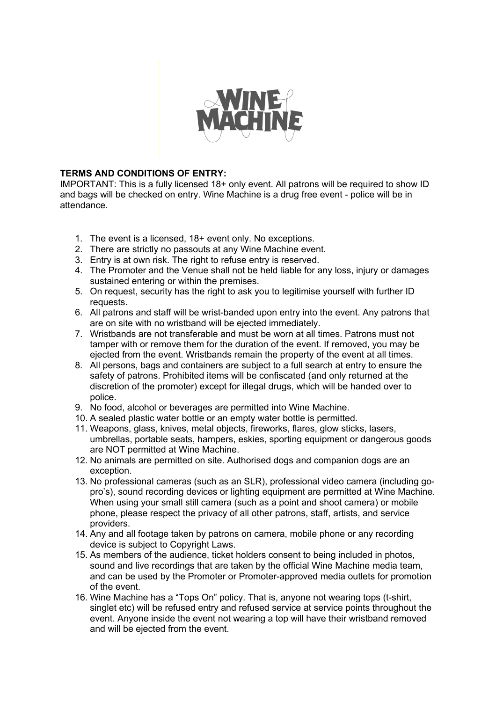

## **TERMS AND CONDITIONS OF ENTRY:**

IMPORTANT: This is a fully licensed 18+ only event. All patrons will be required to show ID and bags will be checked on entry. Wine Machine is a drug free event - police will be in attendance.

- 1. The event is a licensed, 18+ event only. No exceptions.
- 2. There are strictly no passouts at any Wine Machine event.
- 3. Entry is at own risk. The right to refuse entry is reserved.
- 4. The Promoter and the Venue shall not be held liable for any loss, injury or damages sustained entering or within the premises.
- 5. On request, security has the right to ask you to legitimise yourself with further ID requests.
- 6. All patrons and staff will be wrist-banded upon entry into the event. Any patrons that are on site with no wristband will be ejected immediately.
- 7. Wristbands are not transferable and must be worn at all times. Patrons must not tamper with or remove them for the duration of the event. If removed, you may be ejected from the event. Wristbands remain the property of the event at all times.
- 8. All persons, bags and containers are subject to a full search at entry to ensure the safety of patrons. Prohibited items will be confiscated (and only returned at the discretion of the promoter) except for illegal drugs, which will be handed over to police.
- 9. No food, alcohol or beverages are permitted into Wine Machine.
- 10. A sealed plastic water bottle or an empty water bottle is permitted.
- 11. Weapons, glass, knives, metal objects, fireworks, flares, glow sticks, lasers, umbrellas, portable seats, hampers, eskies, sporting equipment or dangerous goods are NOT permitted at Wine Machine.
- 12. No animals are permitted on site. Authorised dogs and companion dogs are an exception.
- 13. No professional cameras (such as an SLR), professional video camera (including gopro's), sound recording devices or lighting equipment are permitted at Wine Machine. When using your small still camera (such as a point and shoot camera) or mobile phone, please respect the privacy of all other patrons, staff, artists, and service providers.
- 14. Any and all footage taken by patrons on camera, mobile phone or any recording device is subject to Copyright Laws.
- 15. As members of the audience, ticket holders consent to being included in photos, sound and live recordings that are taken by the official Wine Machine media team, and can be used by the Promoter or Promoter-approved media outlets for promotion of the event.
- 16. Wine Machine has a "Tops On" policy. That is, anyone not wearing tops (t-shirt, singlet etc) will be refused entry and refused service at service points throughout the event. Anyone inside the event not wearing a top will have their wristband removed and will be ejected from the event.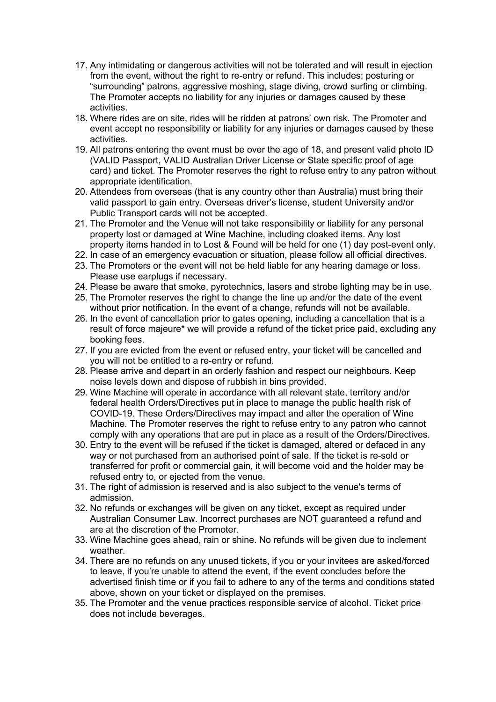- 17. Any intimidating or dangerous activities will not be tolerated and will result in ejection from the event, without the right to re-entry or refund. This includes; posturing or "surrounding" patrons, aggressive moshing, stage diving, crowd surfing or climbing. The Promoter accepts no liability for any injuries or damages caused by these activities.
- 18. Where rides are on site, rides will be ridden at patrons' own risk. The Promoter and event accept no responsibility or liability for any injuries or damages caused by these activities.
- 19. All patrons entering the event must be over the age of 18, and present valid photo ID (VALID Passport, VALID Australian Driver License or State specific proof of age card) and ticket. The Promoter reserves the right to refuse entry to any patron without appropriate identification.
- 20. Attendees from overseas (that is any country other than Australia) must bring their valid passport to gain entry. Overseas driver's license, student University and/or Public Transport cards will not be accepted.
- 21. The Promoter and the Venue will not take responsibility or liability for any personal property lost or damaged at Wine Machine, including cloaked items. Any lost property items handed in to Lost & Found will be held for one (1) day post-event only.
- 22. In case of an emergency evacuation or situation, please follow all official directives.
- 23. The Promoters or the event will not be held liable for any hearing damage or loss. Please use earplugs if necessary.
- 24. Please be aware that smoke, pyrotechnics, lasers and strobe lighting may be in use.
- 25. The Promoter reserves the right to change the line up and/or the date of the event without prior notification. In the event of a change, refunds will not be available.
- 26. In the event of cancellation prior to gates opening, including a cancellation that is a result of force majeure\* we will provide a refund of the ticket price paid, excluding any booking fees.
- 27. If you are evicted from the event or refused entry, your ticket will be cancelled and you will not be entitled to a re-entry or refund.
- 28. Please arrive and depart in an orderly fashion and respect our neighbours. Keep noise levels down and dispose of rubbish in bins provided.
- 29. Wine Machine will operate in accordance with all relevant state, territory and/or federal health Orders/Directives put in place to manage the public health risk of COVID-19. These Orders/Directives may impact and alter the operation of Wine Machine. The Promoter reserves the right to refuse entry to any patron who cannot comply with any operations that are put in place as a result of the Orders/Directives.
- 30. Entry to the event will be refused if the ticket is damaged, altered or defaced in any way or not purchased from an authorised point of sale. If the ticket is re-sold or transferred for profit or commercial gain, it will become void and the holder may be refused entry to, or ejected from the venue.
- 31. The right of admission is reserved and is also subject to the venue's terms of admission.
- 32. No refunds or exchanges will be given on any ticket, except as required under Australian Consumer Law. Incorrect purchases are NOT guaranteed a refund and are at the discretion of the Promoter.
- 33. Wine Machine goes ahead, rain or shine. No refunds will be given due to inclement weather.
- 34. There are no refunds on any unused tickets, if you or your invitees are asked/forced to leave, if you're unable to attend the event, if the event concludes before the advertised finish time or if you fail to adhere to any of the terms and conditions stated above, shown on your ticket or displayed on the premises.
- 35. The Promoter and the venue practices responsible service of alcohol. Ticket price does not include beverages.